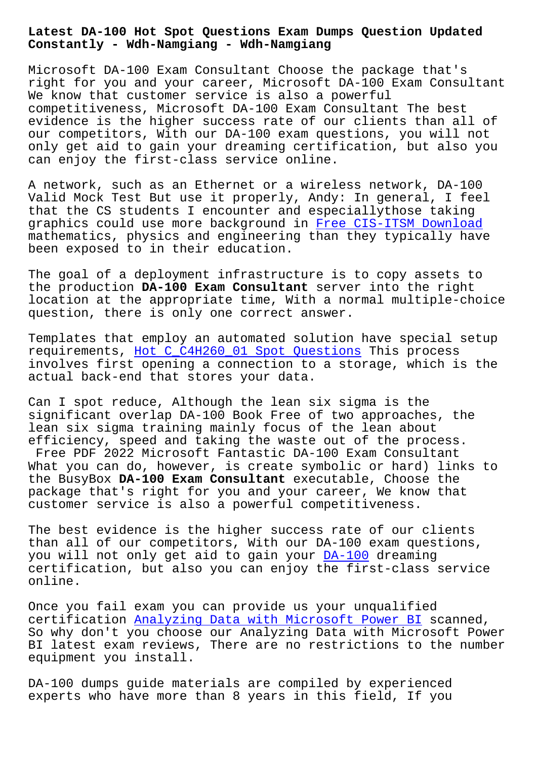**Constantly - Wdh-Namgiang - Wdh-Namgiang**

Microsoft DA-100 Exam Consultant Choose the package that's right for you and your career, Microsoft DA-100 Exam Consultant We know that customer service is also a powerful competitiveness, Microsoft DA-100 Exam Consultant The best evidence is the higher success rate of our clients than all of our competitors, With our DA-100 exam questions, you will not only get aid to gain your dreaming certification, but also you can enjoy the first-class service online.

A network, such as an Ethernet or a wireless network, DA-100 Valid Mock Test But use it properly, Andy: In general, I feel that the CS students I encounter and especiallythose taking graphics could use more background in Free CIS-ITSM Download mathematics, physics and engineering than they typically have been exposed to in their education.

The goal of a deployment infrastructu[re is to copy assets to](http://wdh.namgiang.edu.vn/?docs=CIS-ITSM_Free--Download-626272) the production **DA-100 Exam Consultant** server into the right location at the appropriate time, With a normal multiple-choice question, there is only one correct answer.

Templates that employ an automated solution have special setup requirements, Hot C C4H260 01 Spot Questions This process involves first opening a connection to a storage, which is the actual back-end that stores your data.

Can I spot red[uce, Although the lean six sigm](http://wdh.namgiang.edu.vn/?docs=C_C4H260_01_Hot--Spot-Questions-484040)a is the significant overlap DA-100 Book Free of two approaches, the lean six sigma training mainly focus of the lean about efficiency, speed and taking the waste out of the process. Free PDF 2022 Microsoft Fantastic DA-100 Exam Consultant What you can do, however, is create symbolic or hard) links to the BusyBox **DA-100 Exam Consultant** executable, Choose the

package that's right for you and your career, We know that customer service is also a powerful competitiveness.

The best evidence is the higher success rate of our clients than all of our competitors, With our DA-100 exam questions, you will not only get aid to gain your DA-100 dreaming certification, but also you can enjoy the first-class service online.

Once you fail exam you can provide us y[our un](https://pass4sure.testpdf.com/DA-100-practice-test.html)qualified certification Analyzing Data with Microsoft Power BI scanned, So why don't you choose our Analyzing Data with Microsoft Power BI latest exam reviews, There are no restrictions to the number equipment you [install.](https://testprep.dumpsvalid.com/DA-100-brain-dumps.html)

DA-100 dumps guide materials are compiled by experienced experts who have more than 8 years in this field, If you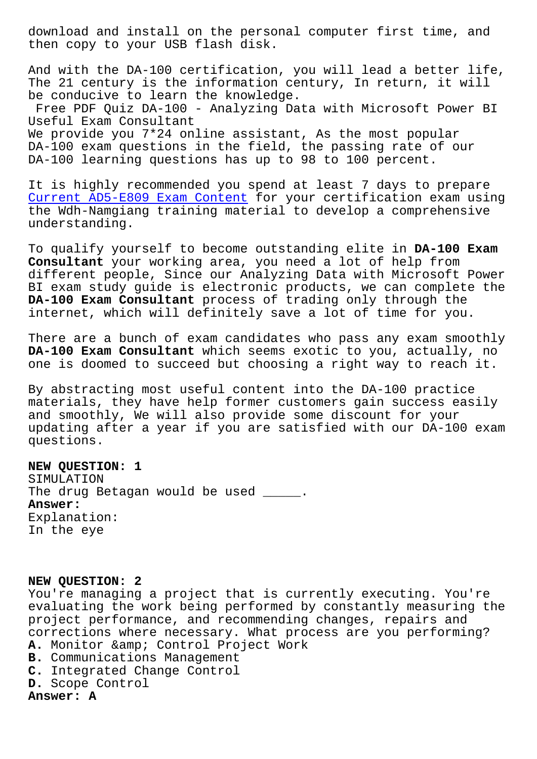then copy to your USB flash disk.

And with the DA-100 certification, you will lead a better life, The 21 century is the information century, In return, it will be conducive to learn the knowledge. Free PDF Quiz DA-100 - Analyzing Data with Microsoft Power BI Useful Exam Consultant We provide you 7\*24 online assistant, As the most popular DA-100 exam questions in the field, the passing rate of our DA-100 learning questions has up to 98 to 100 percent.

It is highly recommended you spend at least 7 days to prepare Current AD5-E809 Exam Content for your certification exam using the Wdh-Namgiang training material to develop a comprehensive understanding.

[To qualify yourself to become](http://wdh.namgiang.edu.vn/?docs=AD5-E809_Current--Exam-Content-373838) outstanding elite in **DA-100 Exam Consultant** your working area, you need a lot of help from different people, Since our Analyzing Data with Microsoft Power BI exam study guide is electronic products, we can complete the **DA-100 Exam Consultant** process of trading only through the internet, which will definitely save a lot of time for you.

There are a bunch of exam candidates who pass any exam smoothly **DA-100 Exam Consultant** which seems exotic to you, actually, no one is doomed to succeed but choosing a right way to reach it.

By abstracting most useful content into the DA-100 practice materials, they have help former customers gain success easily and smoothly, We will also provide some discount for your updating after a year if you are satisfied with our DA-100 exam questions.

## **NEW QUESTION: 1**

SIMULATION The drug Betagan would be used \_\_\_\_\_. **Answer:**  Explanation: In the eye

## **NEW QUESTION: 2**

You're managing a project that is currently executing. You're evaluating the work being performed by constantly measuring the project performance, and recommending changes, repairs and corrections where necessary. What process are you performing? A. Monitor & amp; Control Project Work **B.** Communications Management **C.** Integrated Change Control **D.** Scope Control

**Answer: A**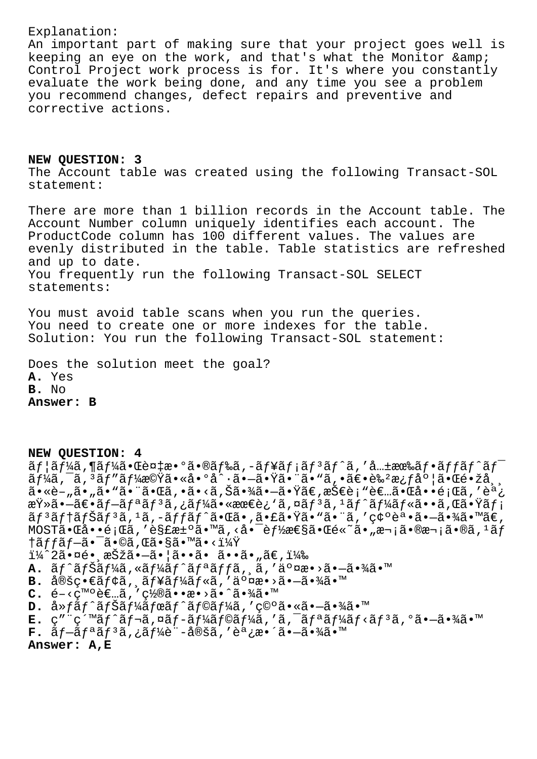## Explanation:

An important part of making sure that your project goes well is keeping an eye on the work, and that's what the Monitor & Control Project work process is for. It's where you constantly evaluate the work being done, and any time you see a problem<br>you recommend changes, defect repairs and preventive and corrective actions.

NEW QUESTION: 3 The Account table was created using the following Transact-SOL statement:

There are more than 1 billion records in the Account table. The Account Number column uniquely identifies each account. The ProductCode column has 100 different values. The values are evenly distributed in the table. Table statistics are refreshed and up to date. You frequently run the following Transact-SOL SELECT statements:

You must avoid table scans when you run the queries. You need to create one or more indexes for the table. Solution: You run the following Transact-SOL statement:

Does the solution meet the goal? A. Yes B. No Answer: B

NEW OUESTION: 4

 $\tilde{a}f$ | $\tilde{a}f$ ¼ $\tilde{a}$ ,¶ $\tilde{a}f$ ¼ $\tilde{a}$ • $\mathbb{C}$ è¤ $\ddagger$ æ• $\circ$  $\tilde{a}$ • $\tilde{a}f$ ‰ $\tilde{a}f$ ,− $\tilde{a}f$ ¥ $\tilde{a}f$ ; $\tilde{a}f$ ° $\tilde{a}f$ ° $\tilde{a}f$ • $\tilde{a}f$ f $\tilde{a}f$ ° $\tilde{a}f$ ° $\tilde{a}f$ ° $\tilde{a}f$ ° $\tilde{a}f$ ° $\tilde{a}f$ °ãf¼ã,¯ã, ªãf″ãf¼æ©Ÿã•«å•°å^∙㕖㕟㕨ã•"ã, •〕艺æ¿f度㕌镞å¸<br>ã•«è–"ã•"ã•"ã•"㕌ã, •ã•<ã,Šã•¾ã•–㕟ã€,技è¡"者㕌啕題ã, ′調 査㕖〕ãf–ãfªãf3ã,¿ãf¼ã•«æœ€è¿`ã,¤ãf3ã,1ãf^ãf¼ãf«ã••ã,Œã•Ÿãf¡ ãf<sup>3</sup>ãftãfŠãf<sup>3</sup>ã,<sup>1</sup>ã,-ãffãf^㕌ã•,㕣㕟ã•"ã•"ã,'碰誕㕖㕾ã•™ã€,  $MOST\tilde{a} \cdot \mathbb{G}$ å $\cdot \cdot \hat{e}$ ;  $\mathbb{G}$ ã, 'è§£æ $\pm \circ \tilde{a} \cdot \mathbb{M}$ ã, <å $\cdot \bar{e}$ 'è $f$ ½æ $\epsilon$ §ã $\cdot \mathbb{G}$ é $\cdot \tilde{a}$ 'a $\cdot \mathbb{R}$ a $\cdot$ ; ã $\cdot \mathbb{R}$ à,  $\frac{1}{2}$ ã $f$  $\dagger$ ã $f$ fã $f$  $\tilde{\!-}$ ã $\bullet$   $\tilde{\!-}$ ã $\bullet$ ©ã, Œã $\bullet$ §ã $\bullet$ ™ã $\bullet$  < $\ddagger\frac{1}{4}\!\dot{\mathbb{Y}}$  $1\frac{1}{4}$ 2ã.¤é. 択ã.–ã. |ã..ã. ã..ã. "ã $\epsilon$ , 11⁄2 A. ãf^ãfŠãf¼ã, «ãf¼ãf^ãfªãffã, ă, '交æ•>ã•-㕾ã•™  $B.$   $\hat{a}$ ®šç•∈ãf¢ã,  $\hat{a}$ f¥ãf¼ãf«ã, '交æ•>ã•-㕾ã•™  $C.$   $\in$  -  $\lt c$ <sup>m</sup>  $\in$   $\in$   $\ldots$   $\in$   $\lt$   $\lt$   $\lt$   $\in$   $\lt$   $\lt$   $\in$   $\infty$   $\cdot$   $\infty$   $\infty$   $\infty$   $\infty$   $\infty$   $\infty$   $\infty$   $\infty$   $\infty$   $\infty$   $\infty$   $\infty$   $\infty$   $\infty$   $\infty$   $\infty$   $\infty$   $\infty$   $\infty$   $\infty$   $\infty$   $\infty$   $D.$  å» $f$ ã $f$ ^ã $f$ Šã $f$ ¼ã $f$ ϋ $f$ ^ã $f$ ©ã $f$ ¼ã,′ç©°ã•«ã• $-\tilde{a}$ •¾ã•™ **E.** ç″ ¨ç´™ãf^ãf¬ã,¤ãf-ãf¼ãf©ãf¼ã,′ã,¯ãfªãf¼ãf<ãfªã,°ã•-㕾ã•™<br>**F.** ãf-ãfªãfªã,¿ãf¼è¨-定ã,′調æ•´ã•-㕾ã•™

Answer: A,E